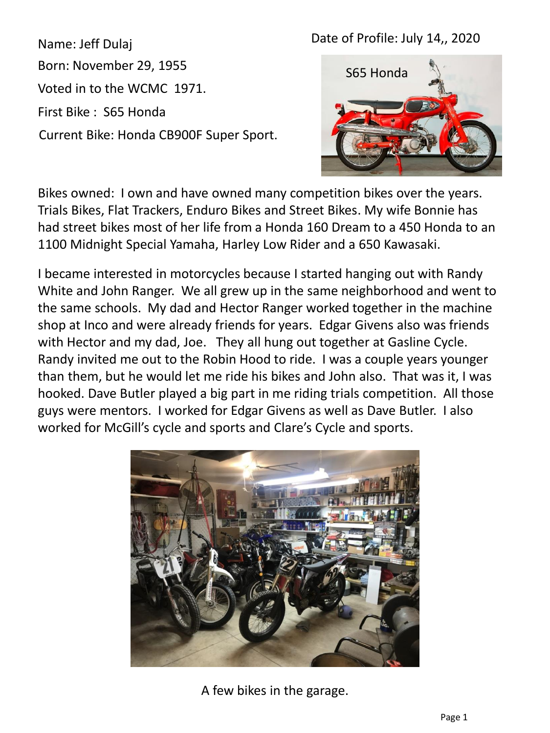## Date of Profile: July 14,, 2020

Name: Jeff Dulaj Born: November 29, 1955 Voted in to the WCMC 1971. First Bike : S65 Honda Current Bike: Honda CB900F Super Sport.



Bikes owned: I own and have owned many competition bikes over the years. Trials Bikes, Flat Trackers, Enduro Bikes and Street Bikes. My wife Bonnie has had street bikes most of her life from a Honda 160 Dream to a 450 Honda to an 1100 Midnight Special Yamaha, Harley Low Rider and a 650 Kawasaki.

I became interested in motorcycles because I started hanging out with Randy White and John Ranger. We all grew up in the same neighborhood and went to the same schools. My dad and Hector Ranger worked together in the machine shop at Inco and were already friends for years. Edgar Givens also was friends with Hector and my dad, Joe. They all hung out together at Gasline Cycle. Randy invited me out to the Robin Hood to ride. I was a couple years younger than them, but he would let me ride his bikes and John also. That was it, I was hooked. Dave Butler played a big part in me riding trials competition. All those guys were mentors. I worked for Edgar Givens as well as Dave Butler. I also worked for McGill's cycle and sports and Clare's Cycle and sports.



A few bikes in the garage.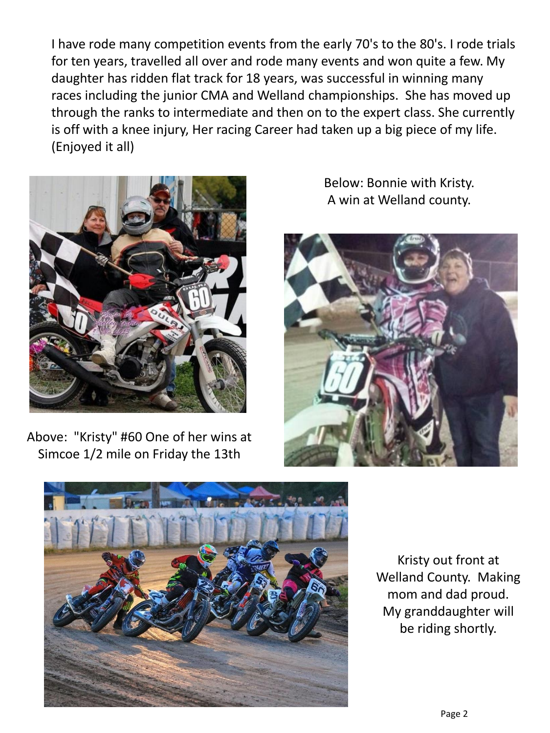I have rode many competition events from the early 70's to the 80's. I rode trials for ten years, travelled all over and rode many events and won quite a few. My daughter has ridden flat track for 18 years, was successful in winning many races including the junior CMA and Welland championships. She has moved up through the ranks to intermediate and then on to the expert class. She currently is off with a knee injury, Her racing Career had taken up a big piece of my life. (Enjoyed it all)



Above: "Kristy" #60 One of her wins at Simcoe 1/2 mile on Friday the 13th

Below: Bonnie with Kristy. A win at Welland county.





Kristy out front at Welland County. Making mom and dad proud. My granddaughter will be riding shortly.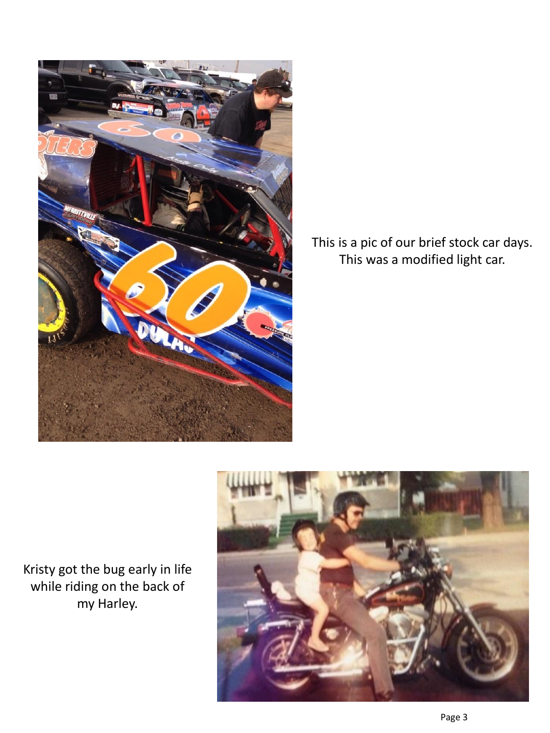

This is a pic of our brief stock car days. This was a modified light car.

Kristy got the bug early in life while riding on the back of my Harley.